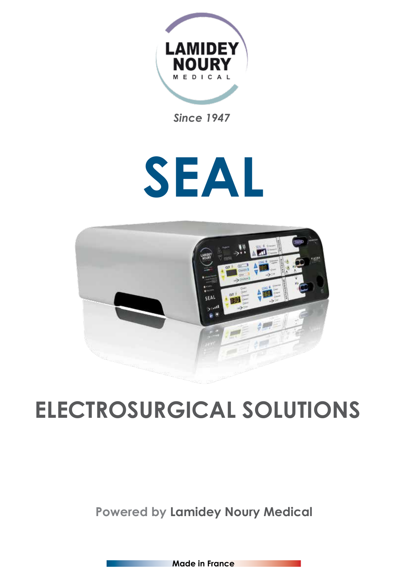

*Since 1947*

# **SEAL**



# **ELECTROSURGICAL SOLUTIONS**

# **Powered by Lamidey Noury Medical**

**Made in France**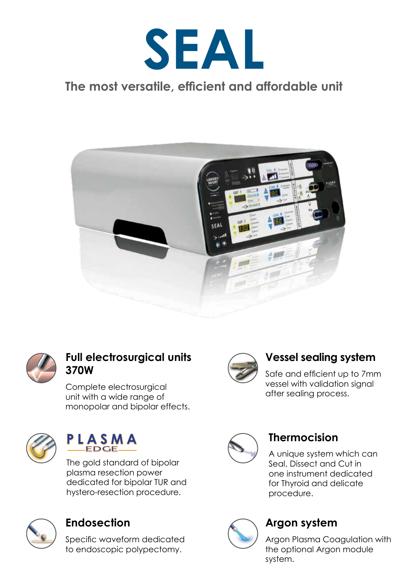

## **The most versatile, efficient and affordable unit**





#### **Full electrosurgical units 370W**

Complete electrosurgical unit with a wide range of monopolar and bipolar effects.



#### PLASMA **EDGE**

The gold standard of bipolar plasma resection power dedicated for bipolar TUR and hystero-resection procedure.



#### **Endosection**

Specific waveform dedicated to endoscopic polypectomy.



### **Vessel sealing system**

Safe and efficient up to 7mm vessel with validation signal after sealing process.



#### **Thermocision**

A unique system which can Seal, Dissect and Cut in one instrument dedicated for Thyroid and delicate procedure.



#### **Argon system**

Argon Plasma Coagulation with the optional Argon module system.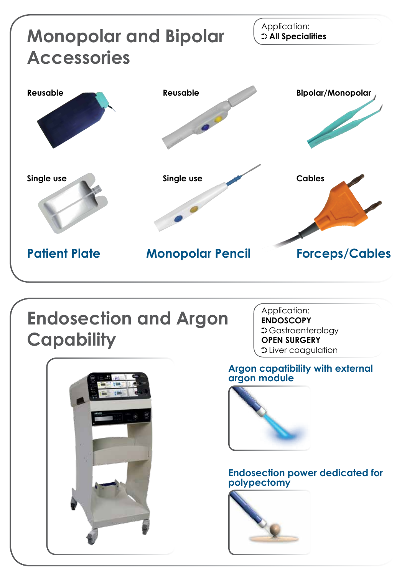

# **Endosection and Argon Capability**

Application: **ENDOSCOPY** Gastroenterology **OPEN SURGERY** S Liver coagulation

#### **Argon capatibility with external argon module**



#### **Endosection power dedicated for polypectomy**



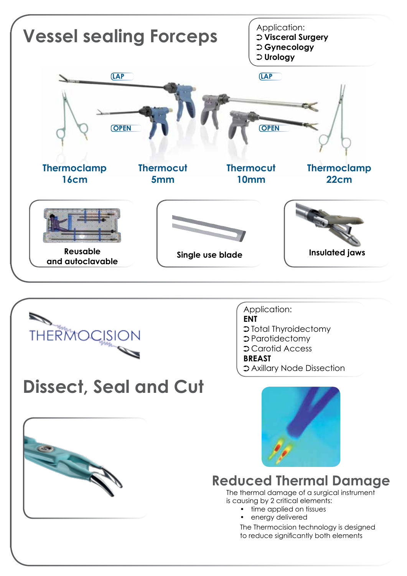



#### Application: **ENT** Total Thyroidectomy Parotidectomy Carotid Access **BREAST** Axillary Node Dissection



**Dissect, Seal and Cut**



## **Reduced Thermal Damage**

The thermal damage of a surgical instrument is causing by 2 critical elements:

- time applied on tissues
- energy delivered

The Thermocision technology is designed to reduce significantly both elements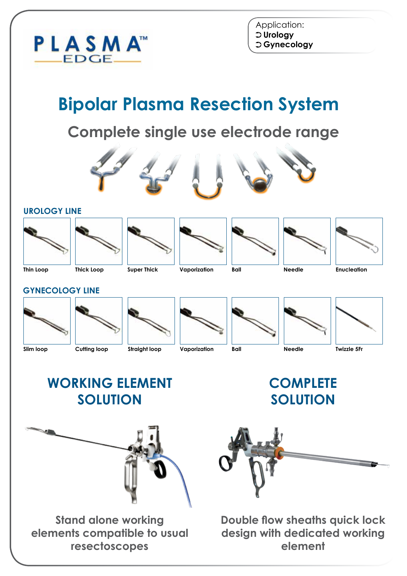

# **Bipolar Plasma Resection System**

# **Complete single use electrode range**







**Thin Loop**









**Ball**

**GYNECOLOGY LINE**

**UROLOGY LINE**





**Straight loop**









**WORKING ELEMENT SOLUTION**

**COMPLETE SOLUTION**



**Stand alone working elements compatible to usual resectoscopes**



**Double flow sheaths quick lock design with dedicated working element**